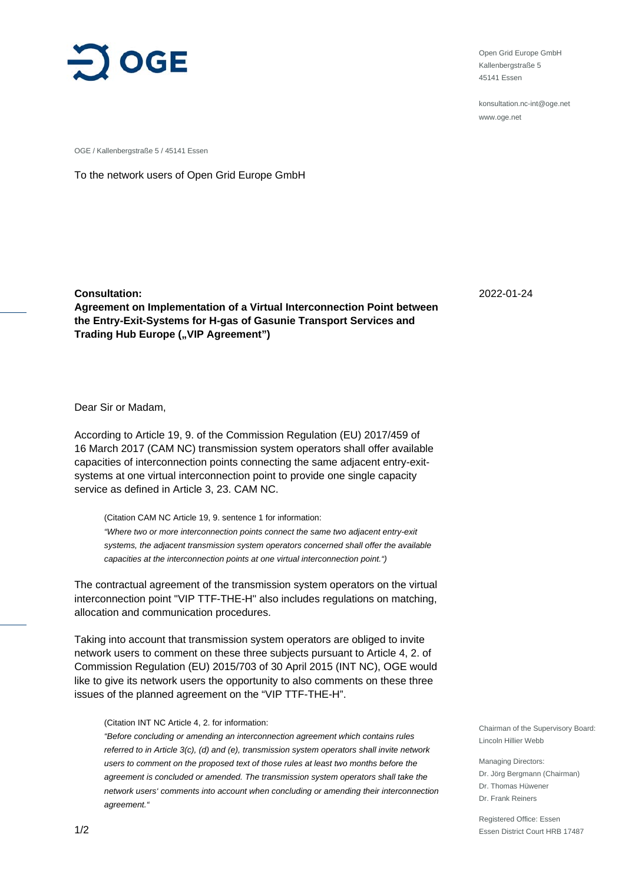

Open Grid Europe GmbH Kallenbergstraße 5 45141 Essen

konsultation.nc-int@oge.net www.oge.net

OGE / Kallenbergstraße 5 / 45141 Essen

To the network users of Open Grid Europe GmbH

**Consultation: Agreement on Implementation of a Virtual Interconnection Point between the Entry-Exit-Systems for H-gas of Gasunie Transport Services and Trading Hub Europe ("VIP Agreement")** 

Dear Sir or Madam,

According to Article 19, 9. of the Commission Regulation (EU) 2017/459 of 16 March 2017 (CAM NC) transmission system operators shall offer available capacities of interconnection points connecting the same adjacent entry-exitsystems at one virtual interconnection point to provide one single capacity service as defined in Article 3, 23. CAM NC.

(Citation CAM NC Article 19, 9. sentence 1 for information: *"Where two or more interconnection points connect the same two adjacent entry-exit systems, the adjacent transmission system operators concerned shall offer the available capacities at the interconnection points at one virtual interconnection point.")*

The contractual agreement of the transmission system operators on the virtual interconnection point "VIP TTF-THE-H" also includes regulations on matching, allocation and communication procedures.

Taking into account that transmission system operators are obliged to invite network users to comment on these three subjects pursuant to Article 4, 2. of Commission Regulation (EU) 2015/703 of 30 April 2015 (INT NC), OGE would like to give its network users the opportunity to also comments on these three issues of the planned agreement on the "VIP TTF-THE-H".

#### (Citation INT NC Article 4, 2. for information:

*"Before concluding or amending an interconnection agreement which contains rules referred to in Article 3(c), (d) and (e), transmission system operators shall invite network users to comment on the proposed text of those rules at least two months before the agreement is concluded or amended. The transmission system operators shall take the network users' comments into account when concluding or amending their interconnection agreement."*

2022-01-24

Chairman of the Supervisory Board: Lincoln Hillier Webb

Managing Directors: Dr. Jörg Bergmann (Chairman) Dr. Thomas Hüwener Dr. Frank Reiners

Registered Office: Essen Essen District Court HRB 17487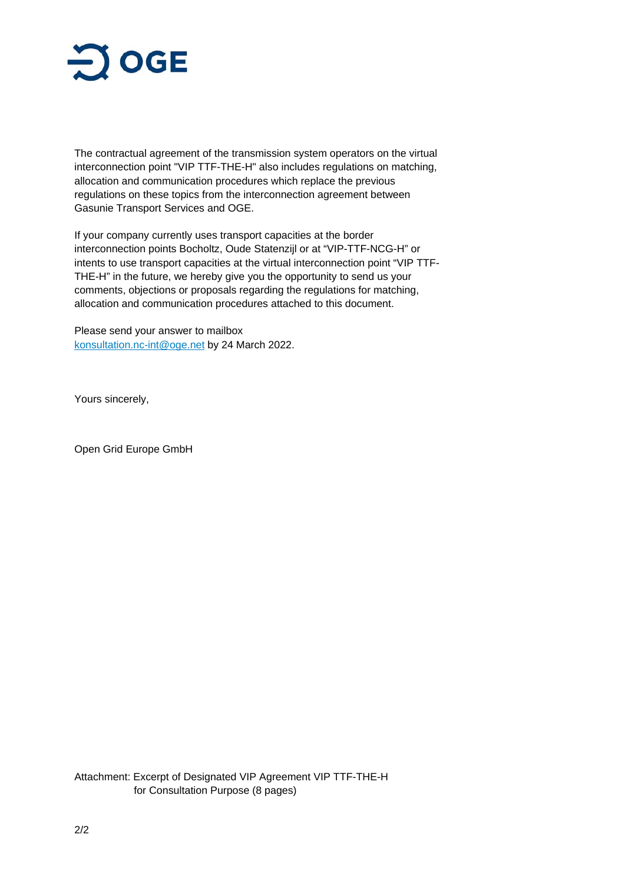

The contractual agreement of the transmission system operators on the virtual interconnection point "VIP TTF-THE-H" also includes regulations on matching, allocation and communication procedures which replace the previous regulations on these topics from the interconnection agreement between Gasunie Transport Services and OGE.

If your company currently uses transport capacities at the border interconnection points Bocholtz, Oude Statenzijl or at "VIP-TTF-NCG-H" or intents to use transport capacities at the virtual interconnection point "VIP TTF-THE-H" in the future, we hereby give you the opportunity to send us your comments, objections or proposals regarding the regulations for matching, allocation and communication procedures attached to this document.

Please send your answer to mailbox konsultation.nc-int@oge.net by 24 March 2022.

Yours sincerely,

Open Grid Europe GmbH

Attachment: Excerpt of Designated VIP Agreement VIP TTF-THE-H for Consultation Purpose (8 pages)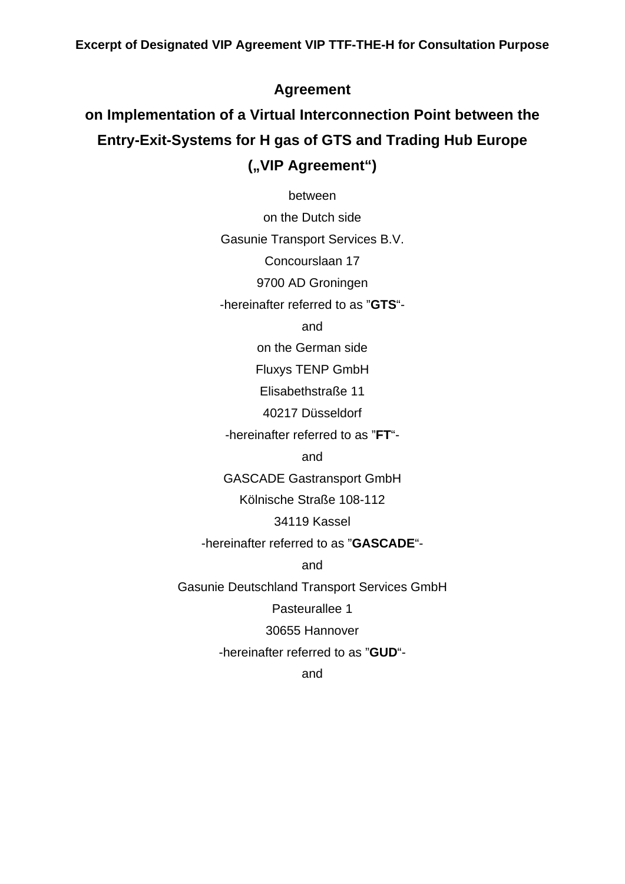# **Agreement**

# **on Implementation of a Virtual Interconnection Point between the Entry-Exit-Systems for H gas of GTS and Trading Hub Europe**  ("VIP Agreement")

between

on the Dutch side Gasunie Transport Services B.V. Concourslaan 17

9700 AD Groningen

-hereinafter referred to as "**GTS**"-

and

on the German side

Fluxys TENP GmbH

Elisabethstraße 11

40217 Düsseldorf

-hereinafter referred to as "**FT**"-

and

GASCADE Gastransport GmbH

Kölnische Straße 108-112

#### 34119 Kassel

-hereinafter referred to as "**GASCADE**"-

and

Gasunie Deutschland Transport Services GmbH

Pasteurallee 1

30655 Hannover

-hereinafter referred to as "**GUD**"-

and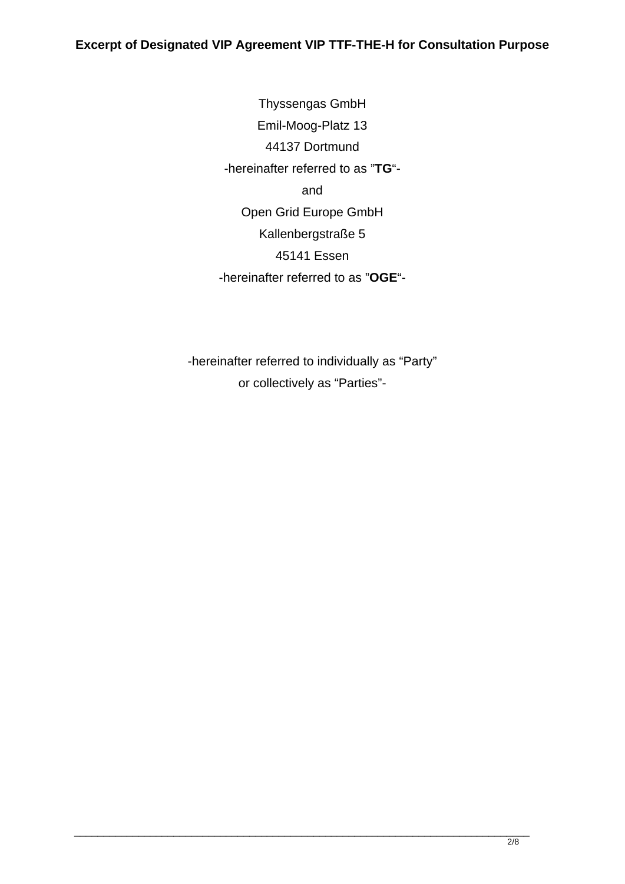Thyssengas GmbH Emil-Moog-Platz 13 44137 Dortmund -hereinafter referred to as "**TG**" and Open Grid Europe GmbH Kallenbergstraße 5 45141 Essen -hereinafter referred to as "**OGE**"-

-hereinafter referred to individually as "Party" or collectively as "Parties"-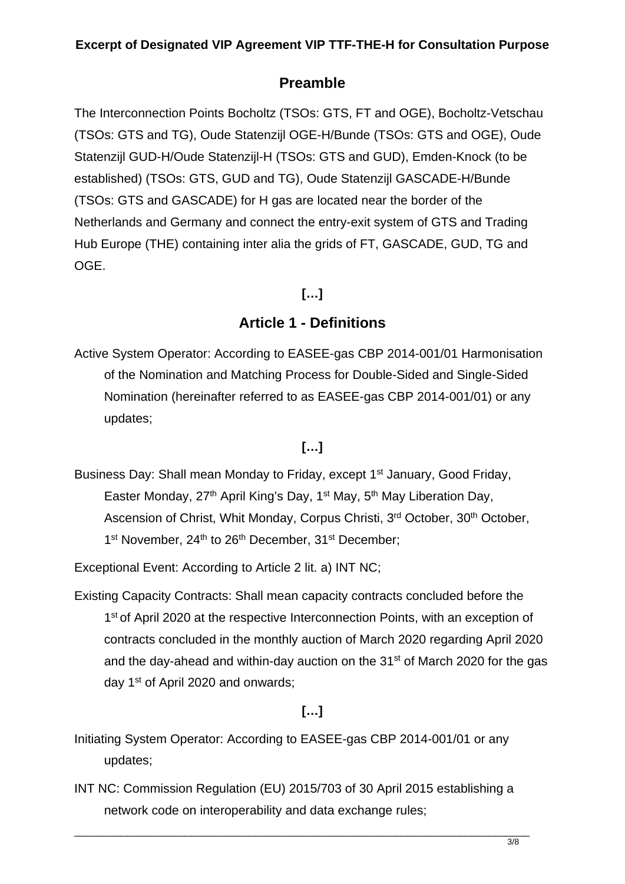# **Preamble**

The Interconnection Points Bocholtz (TSOs: GTS, FT and OGE), Bocholtz-Vetschau (TSOs: GTS and TG), Oude Statenzijl OGE-H/Bunde (TSOs: GTS and OGE), Oude Statenzijl GUD-H/Oude Statenzijl-H (TSOs: GTS and GUD), Emden-Knock (to be established) (TSOs: GTS, GUD and TG), Oude Statenzijl GASCADE-H/Bunde (TSOs: GTS and GASCADE) for H gas are located near the border of the Netherlands and Germany and connect the entry-exit system of GTS and Trading Hub Europe (THE) containing inter alia the grids of FT, GASCADE, GUD, TG and OGE.

**[…]** 

# **Article 1 - Definitions**

Active System Operator: According to EASEE-gas CBP 2014-001/01 Harmonisation of the Nomination and Matching Process for Double-Sided and Single-Sided Nomination (hereinafter referred to as EASEE-gas CBP 2014-001/01) or any updates;

# **[…]**

Business Day: Shall mean Monday to Friday, except 1<sup>st</sup> January, Good Friday, Easter Monday, 27<sup>th</sup> April King's Day, 1<sup>st</sup> May, 5<sup>th</sup> May Liberation Day, Ascension of Christ, Whit Monday, Corpus Christi, 3<sup>rd</sup> October, 30<sup>th</sup> October, 1<sup>st</sup> November, 24<sup>th</sup> to 26<sup>th</sup> December, 31<sup>st</sup> December;

Exceptional Event: According to Article 2 lit. a) INT NC;

Existing Capacity Contracts: Shall mean capacity contracts concluded before the 1<sup>st</sup> of April 2020 at the respective Interconnection Points, with an exception of contracts concluded in the monthly auction of March 2020 regarding April 2020 and the day-ahead and within-day auction on the 31<sup>st</sup> of March 2020 for the gas day 1<sup>st</sup> of April 2020 and onwards;

# **[…]**

- Initiating System Operator: According to EASEE-gas CBP 2014-001/01 or any updates;
- INT NC: Commission Regulation (EU) 2015/703 of 30 April 2015 establishing a network code on interoperability and data exchange rules;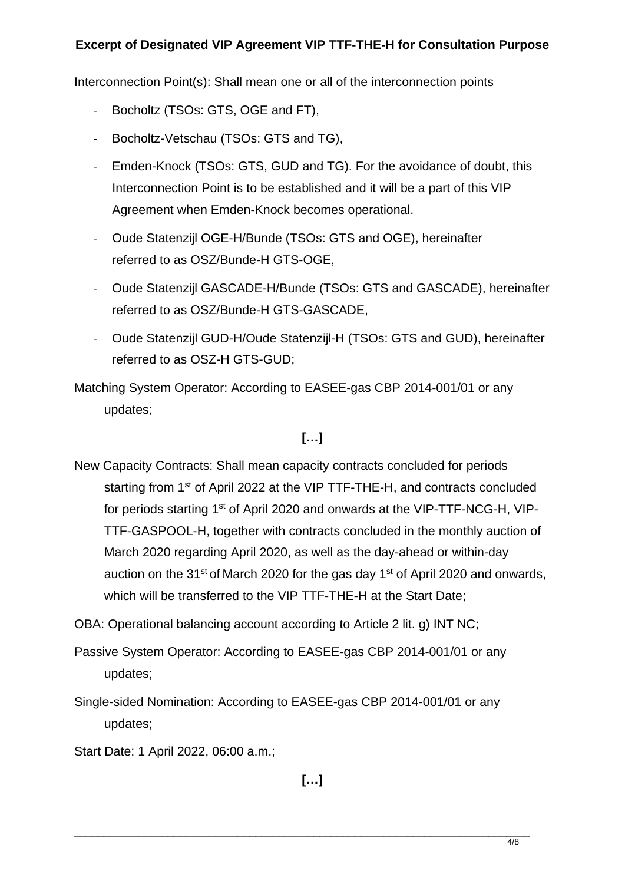Interconnection Point(s): Shall mean one or all of the interconnection points

- ‐ Bocholtz (TSOs: GTS, OGE and FT),
- ‐ Bocholtz-Vetschau (TSOs: GTS and TG),
- ‐ Emden-Knock (TSOs: GTS, GUD and TG). For the avoidance of doubt, this Interconnection Point is to be established and it will be a part of this VIP Agreement when Emden-Knock becomes operational.
- ‐ Oude Statenzijl OGE-H/Bunde (TSOs: GTS and OGE), hereinafter referred to as OSZ/Bunde-H GTS-OGE,
- ‐ Oude Statenzijl GASCADE-H/Bunde (TSOs: GTS and GASCADE), hereinafter referred to as OSZ/Bunde-H GTS-GASCADE,
- ‐ Oude Statenzijl GUD-H/Oude Statenzijl-H (TSOs: GTS and GUD), hereinafter referred to as OSZ-H GTS-GUD;

Matching System Operator: According to EASEE-gas CBP 2014-001/01 or any updates;

# **[…]**

- New Capacity Contracts: Shall mean capacity contracts concluded for periods starting from 1<sup>st</sup> of April 2022 at the VIP TTF-THE-H, and contracts concluded for periods starting 1st of April 2020 and onwards at the VIP-TTF-NCG-H, VIP-TTF-GASPOOL-H, together with contracts concluded in the monthly auction of March 2020 regarding April 2020, as well as the day-ahead or within-day auction on the 31<sup>st</sup> of March 2020 for the gas day 1<sup>st</sup> of April 2020 and onwards, which will be transferred to the VIP TTF-THE-H at the Start Date;
- OBA: Operational balancing account according to Article 2 lit. g) INT NC;
- Passive System Operator: According to EASEE-gas CBP 2014-001/01 or any updates;
- Single-sided Nomination: According to EASEE-gas CBP 2014-001/01 or any updates;
- Start Date: 1 April 2022, 06:00 a.m.;

**[…]**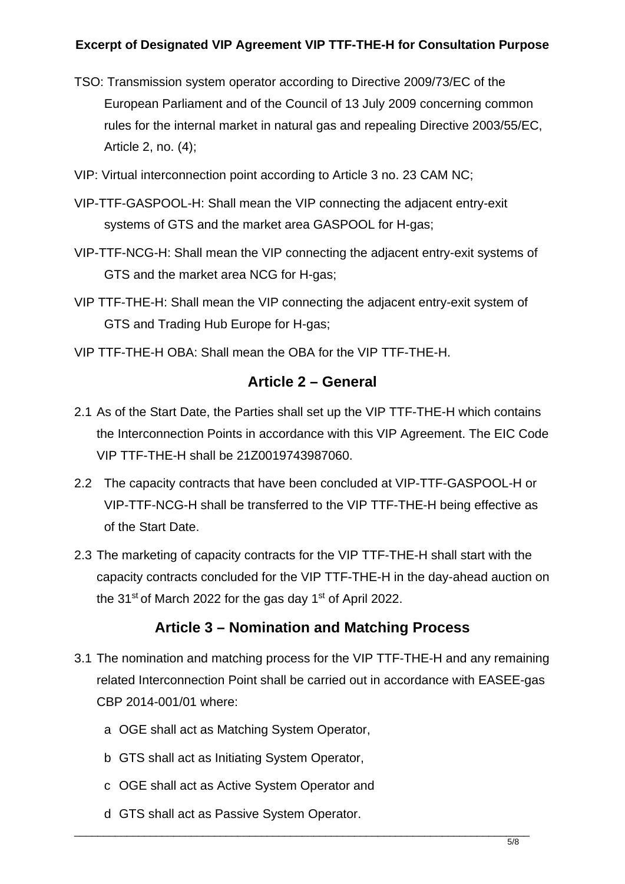- TSO: Transmission system operator according to Directive 2009/73/EC of the European Parliament and of the Council of 13 July 2009 concerning common rules for the internal market in natural gas and repealing Directive 2003/55/EC, Article 2, no. (4);
- VIP: Virtual interconnection point according to Article 3 no. 23 CAM NC;
- VIP-TTF-GASPOOL-H: Shall mean the VIP connecting the adjacent entry-exit systems of GTS and the market area GASPOOL for H-gas;
- VIP-TTF-NCG-H: Shall mean the VIP connecting the adjacent entry-exit systems of GTS and the market area NCG for H-gas;
- VIP TTF-THE-H: Shall mean the VIP connecting the adjacent entry-exit system of GTS and Trading Hub Europe for H-gas;
- VIP TTF-THE-H OBA: Shall mean the OBA for the VIP TTF-THE-H.

#### **Article 2 – General**

- 2.1 As of the Start Date, the Parties shall set up the VIP TTF-THE-H which contains the Interconnection Points in accordance with this VIP Agreement. The EIC Code VIP TTF-THE-H shall be 21Z0019743987060.
- 2.2 The capacity contracts that have been concluded at VIP-TTF-GASPOOL-H or VIP-TTF-NCG-H shall be transferred to the VIP TTF-THE-H being effective as of the Start Date.
- 2.3 The marketing of capacity contracts for the VIP TTF-THE-H shall start with the capacity contracts concluded for the VIP TTF-THE-H in the day-ahead auction on the 31<sup>st</sup> of March 2022 for the gas day 1<sup>st</sup> of April 2022.

# **Article 3 – Nomination and Matching Process**

- 3.1 The nomination and matching process for the VIP TTF-THE-H and any remaining related Interconnection Point shall be carried out in accordance with EASEE-gas CBP 2014-001/01 where:
	- a OGE shall act as Matching System Operator,
	- b GTS shall act as Initiating System Operator,
	- c OGE shall act as Active System Operator and
	- d GTS shall act as Passive System Operator.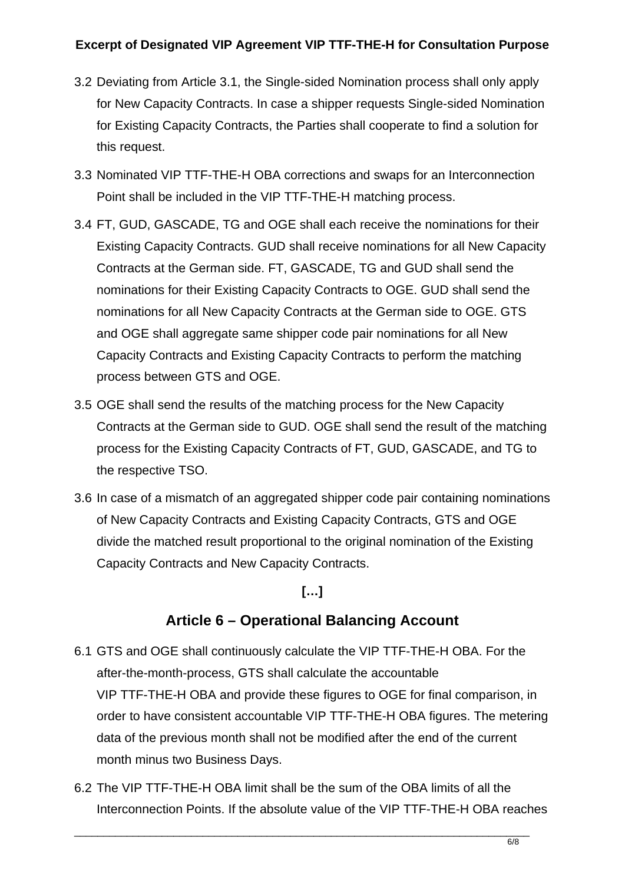- 3.2 Deviating from Article 3.1, the Single-sided Nomination process shall only apply for New Capacity Contracts. In case a shipper requests Single-sided Nomination for Existing Capacity Contracts, the Parties shall cooperate to find a solution for this request.
- 3.3 Nominated VIP TTF-THE-H OBA corrections and swaps for an Interconnection Point shall be included in the VIP TTF-THE-H matching process.
- 3.4 FT, GUD, GASCADE, TG and OGE shall each receive the nominations for their Existing Capacity Contracts. GUD shall receive nominations for all New Capacity Contracts at the German side. FT, GASCADE, TG and GUD shall send the nominations for their Existing Capacity Contracts to OGE. GUD shall send the nominations for all New Capacity Contracts at the German side to OGE. GTS and OGE shall aggregate same shipper code pair nominations for all New Capacity Contracts and Existing Capacity Contracts to perform the matching process between GTS and OGE.
- 3.5 OGE shall send the results of the matching process for the New Capacity Contracts at the German side to GUD. OGE shall send the result of the matching process for the Existing Capacity Contracts of FT, GUD, GASCADE, and TG to the respective TSO.
- 3.6 In case of a mismatch of an aggregated shipper code pair containing nominations of New Capacity Contracts and Existing Capacity Contracts, GTS and OGE divide the matched result proportional to the original nomination of the Existing Capacity Contracts and New Capacity Contracts.

#### **[…]**

# **Article 6 – Operational Balancing Account**

- 6.1 GTS and OGE shall continuously calculate the VIP TTF-THE-H OBA. For the after-the-month-process, GTS shall calculate the accountable VIP TTF-THE-H OBA and provide these figures to OGE for final comparison, in order to have consistent accountable VIP TTF-THE-H OBA figures. The metering data of the previous month shall not be modified after the end of the current month minus two Business Days.
- 6.2 The VIP TTF-THE-H OBA limit shall be the sum of the OBA limits of all the Interconnection Points. If the absolute value of the VIP TTF-THE-H OBA reaches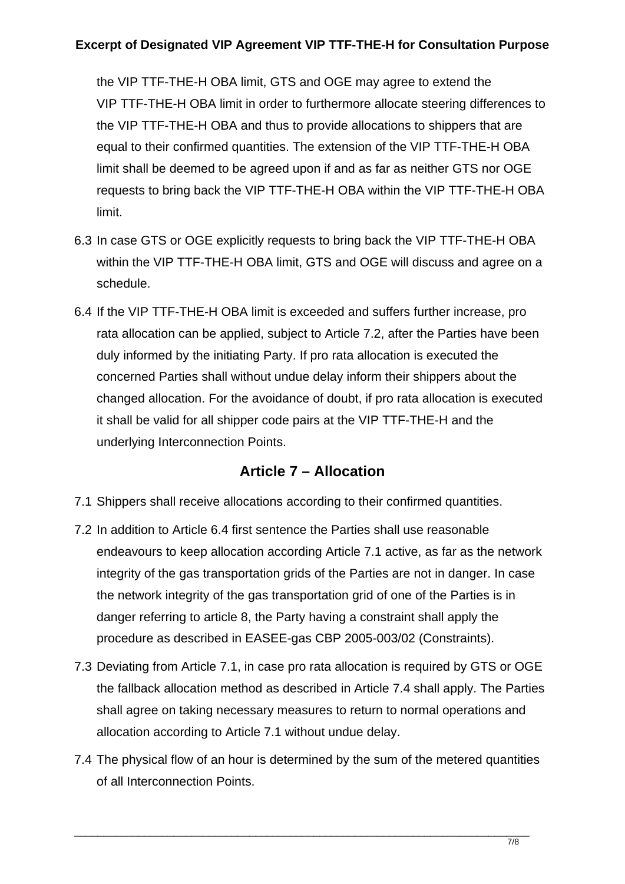the VIP TTF-THE-H OBA limit, GTS and OGE may agree to extend the VIP TTF-THE-H OBA limit in order to furthermore allocate steering differences to the VIP TTF-THE-H OBA and thus to provide allocations to shippers that are equal to their confirmed quantities. The extension of the VIP TTF-THE-H OBA limit shall be deemed to be agreed upon if and as far as neither GTS nor OGE requests to bring back the VIP TTF-THE-H OBA within the VIP TTF-THE-H OBA limit.

- 6.3 In case GTS or OGE explicitly requests to bring back the VIP TTF-THE-H OBA within the VIP TTF-THE-H OBA limit, GTS and OGE will discuss and agree on a schedule.
- 6.4 If the VIP TTF-THE-H OBA limit is exceeded and suffers further increase, pro rata allocation can be applied, subject to Article 7.2, after the Parties have been duly informed by the initiating Party. If pro rata allocation is executed the concerned Parties shall without undue delay inform their shippers about the changed allocation. For the avoidance of doubt, if pro rata allocation is executed it shall be valid for all shipper code pairs at the VIP TTF-THE-H and the underlying Interconnection Points.

### **Article 7 – Allocation**

- 7.1 Shippers shall receive allocations according to their confirmed quantities.
- 7.2 In addition to Article 6.4 first sentence the Parties shall use reasonable endeavours to keep allocation according Article 7.1 active, as far as the network integrity of the gas transportation grids of the Parties are not in danger. In case the network integrity of the gas transportation grid of one of the Parties is in danger referring to article 8, the Party having a constraint shall apply the procedure as described in EASEE-gas CBP 2005-003/02 (Constraints).
- 7.3 Deviating from Article 7.1, in case pro rata allocation is required by GTS or OGE the fallback allocation method as described in Article 7.4 shall apply. The Parties shall agree on taking necessary measures to return to normal operations and allocation according to Article 7.1 without undue delay.
- 7.4 The physical flow of an hour is determined by the sum of the metered quantities of all Interconnection Points.